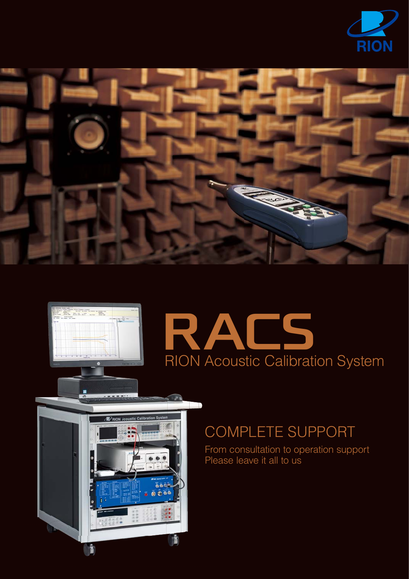









# COMPLETE SUPPORT

From consultation to operation support Please leave it all to us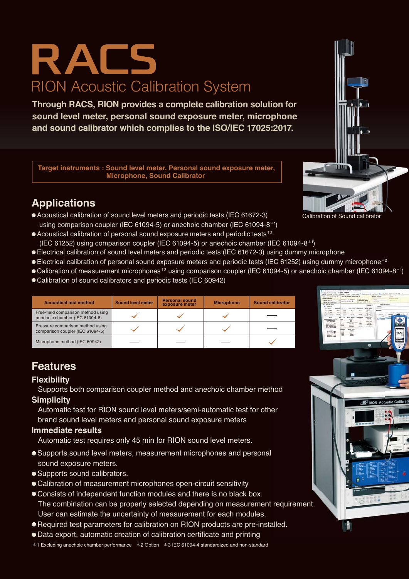# RION Acoustic Calibration System RAC5

**Through RACS, RION provides a complete calibration solution for sound level meter, personal sound exposure meter, microphone and sound calibrator which complies to the ISO/IEC 17025:2017.**

**Target instruments : Sound level meter, Personal sound exposure meter, Microphone, Sound Calibrator**

### **Applications**

- Acoustical calibration of sound level meters and periodic tests (IEC 61672-3) using comparison coupler (IEC 61094-5) or anechoic chamber (IEC 61094-8\*<sup>1</sup> )
- Acoustical calibration of personal sound exposure meters and periodic tests<sup>\*2</sup> (IEC 61252) using comparison coupler (IEC 61094-5) or anechoic chamber (IEC 61094-8\*<sup>1</sup> )
- Electrical calibration of sound level meters and periodic tests (IEC 61672-3) using dummy microphone
- Electrical calibration of personal sound exposure meters and periodic tests (IEC 61252) using dummy microphone<sup>\*2</sup>
- ●Calibration of measurement microphones\*<sup>3</sup> using comparison coupler (IEC 61094-5) or anechoic chamber (IEC 61094-8\*1)
- Calibration of sound calibrators and periodic tests (IEC 60942)

| <b>Acoustical test method</b>                                        | <b>Sound level meter</b> | <b>Personal sound</b><br>exposure meter | <b>Microphone</b> | <b>Sound calibrator</b> |
|----------------------------------------------------------------------|--------------------------|-----------------------------------------|-------------------|-------------------------|
| Free-field comparison method using<br>anechoic chamber (IEC 61094-8) |                          |                                         |                   |                         |
| Pressure comparison method using<br>comparison coupler (IEC 61094-5) |                          |                                         |                   |                         |
| Microphone method (IEC 60942)                                        |                          |                                         |                   |                         |

### **Features**

### **Flexibility**

 Supports both comparison coupler method and anechoic chamber method **Simplicity**

 Automatic test for RION sound level meters/semi-automatic test for other brand sound level meters and personal sound exposure meters

### **Immediate results**

Automatic test requires only 45 min for RION sound level meters.

- Supports sound level meters, measurement microphones and personal sound exposure meters.
- Supports sound calibrators.
- Calibration of measurement microphones open-circuit sensitivity
- Consists of independent function modules and there is no black box. The combination can be properly selected depending on measurement requirement. User can estimate the uncertainty of measurement for each modules.
- Required test parameters for calibration on RION products are pre-installed.
- Data export, automatic creation of calibration certificate and printing
- \*1 Excluding anechoic chamber performance \*2 Option \*3 IEC 61094-4 standardized and non-standard



Calibration of Sound calibrato

Ë

**D** DION Acoust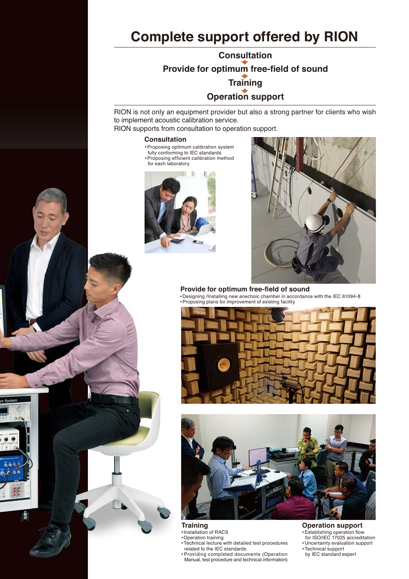## **Complete support offered by RION**

**Consultation Provide for optimum free-field of sound Training Operation support**

RION is not only an equipment provider but also a strong partner for clients who wish to implement acoustic calibration service.

RION supports from consultation to operation support.

### **Consultation**

- Proposing optimum calibration system fully conforming to IEC standards ● Proposing efficient calibration method
- for each laboratory





**Provide for optimum free-field of sound** ● Designing /Installing new anechoic chamber in accordance with the IEC 61094-8 ● Proposing plans for improvement of existing facility





**Training Traini**  $\bullet$  Installation of <code>RACS</code>

- Operation training
- Technical lecture with detailed test procedures Technic
- related to the IEC standards Providing completed documents (Operation Manual, test procedure and technical information) Manual related<br>Provid

#### **Operation support**

- Establishing operation flow for ISO/IEC 17025 accreditation
- Uncertainty evaluation support ● Technical support
- by IEC standard expert